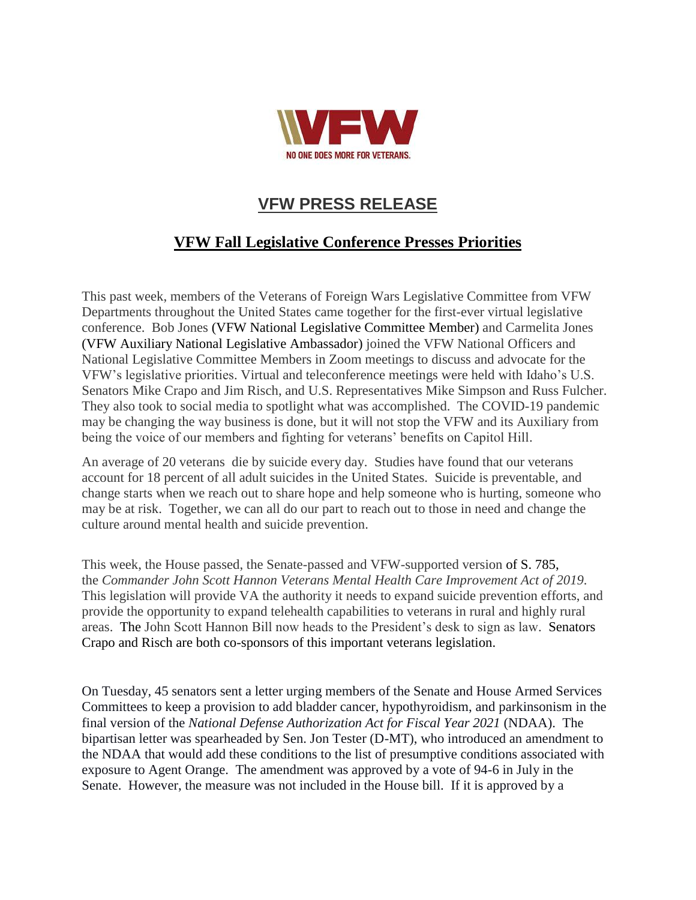

## **VFW PRESS RELEASE**

## **VFW Fall Legislative Conference Presses Priorities**

This past week, members of the Veterans of Foreign Wars Legislative Committee from VFW Departments throughout the United States came together for the first-ever virtual legislative conference. Bob Jones (VFW National Legislative Committee Member) and Carmelita Jones (VFW Auxiliary National Legislative Ambassador) joined the VFW National Officers and National Legislative Committee Members in Zoom meetings to discuss and advocate for the VFW's legislative priorities. Virtual and teleconference meetings were held with Idaho's U.S. Senators Mike Crapo and Jim Risch, and U.S. Representatives Mike Simpson and Russ Fulcher. They also took to social media to spotlight what was accomplished. The COVID-19 pandemic may be changing the way business is done, but it will not stop the VFW and its Auxiliary from being the voice of our members and fighting for veterans' benefits on Capitol Hill.

An average of 20 veterans die by suicide every day. Studies have found that our veterans account for 18 percent of all adult suicides in the United States. Suicide is preventable, and change starts when we reach out to share hope and help someone who is hurting, someone who may be at risk. Together, we can all do our part to reach out to those in need and change the culture around mental health and suicide prevention.

This week, the House passed, the Senate-passed and VFW-supported version of S. 785, the *Commander John Scott Hannon Veterans Mental Health Care Improvement Act of 2019.*  This legislation will provide VA the authority it needs to expand suicide prevention efforts, and provide the opportunity to expand telehealth capabilities to veterans in rural and highly rural areas. The John Scott Hannon Bill now heads to the President's desk to sign as law. Senators Crapo and Risch are both co-sponsors of this important veterans legislation.

On Tuesday, 45 senators sent a letter urging members of the Senate and House Armed Services Committees to keep a provision to add bladder cancer, hypothyroidism, and parkinsonism in the final version of the *National Defense Authorization Act for Fiscal Year 2021* (NDAA). The bipartisan letter was spearheaded by Sen. Jon Tester (D-MT), who introduced an amendment to the NDAA that would add these conditions to the list of presumptive conditions associated with exposure to Agent Orange. The amendment was approved by a vote of 94-6 in July in the Senate. However, the measure was not included in the House bill. If it is approved by a